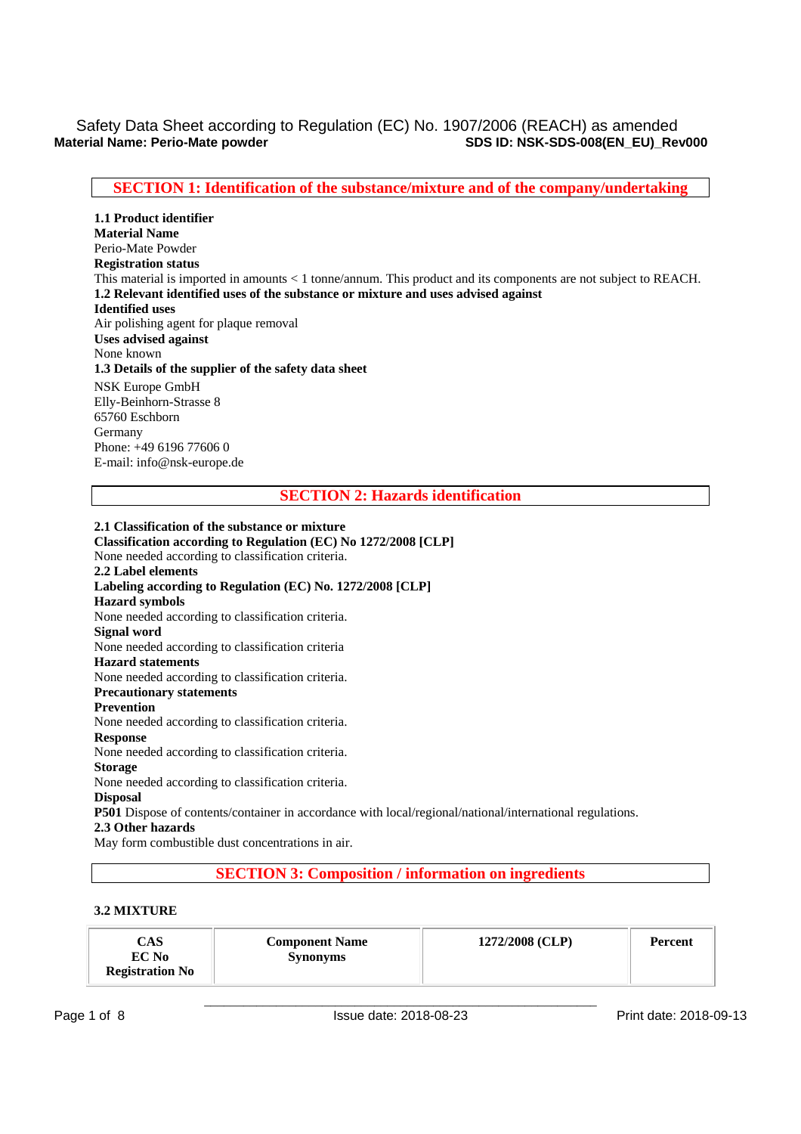## **SECTION 1: Identification of the substance/mixture and of the company/undertaking**

**1.1 Product identifier Material Name**  Perio-Mate Powder **Registration status**  This material is imported in amounts < 1 tonne/annum. This product and its components are not subject to REACH. **1.2 Relevant identified uses of the substance or mixture and uses advised against Identified uses**  Air polishing agent for plaque removal **Uses advised against**  None known **1.3 Details of the supplier of the safety data sheet**  NSK Europe GmbH Elly-Beinhorn-Strasse 8 65760 Eschborn Germany Phone: +49 6196 77606 0 E-mail: info@nsk-europe.de

### **SECTION 2: Hazards identification**

**2.1 Classification of the substance or mixture Classification according to Regulation (EC) No 1272/2008 [CLP]**  None needed according to classification criteria. **2.2 Label elements Labeling according to Regulation (EC) No. 1272/2008 [CLP] Hazard symbols**  None needed according to classification criteria. **Signal word**  None needed according to classification criteria **Hazard statements**  None needed according to classification criteria. **Precautionary statements Prevention**  None needed according to classification criteria. **Response**  None needed according to classification criteria. **Storage**  None needed according to classification criteria. **Disposal P501** Dispose of contents/container in accordance with local/regional/national/international regulations. **2.3 Other hazards**  May form combustible dust concentrations in air.

## **SECTION 3: Composition / information on ingredients**

### **3.2 MIXTURE**

| CAS<br><b>Component Name</b><br>EC No<br><b>Synonyms</b><br><b>Registration No</b> | 1272/2008 (CLP) | <b>Percent</b> |
|------------------------------------------------------------------------------------|-----------------|----------------|
|------------------------------------------------------------------------------------|-----------------|----------------|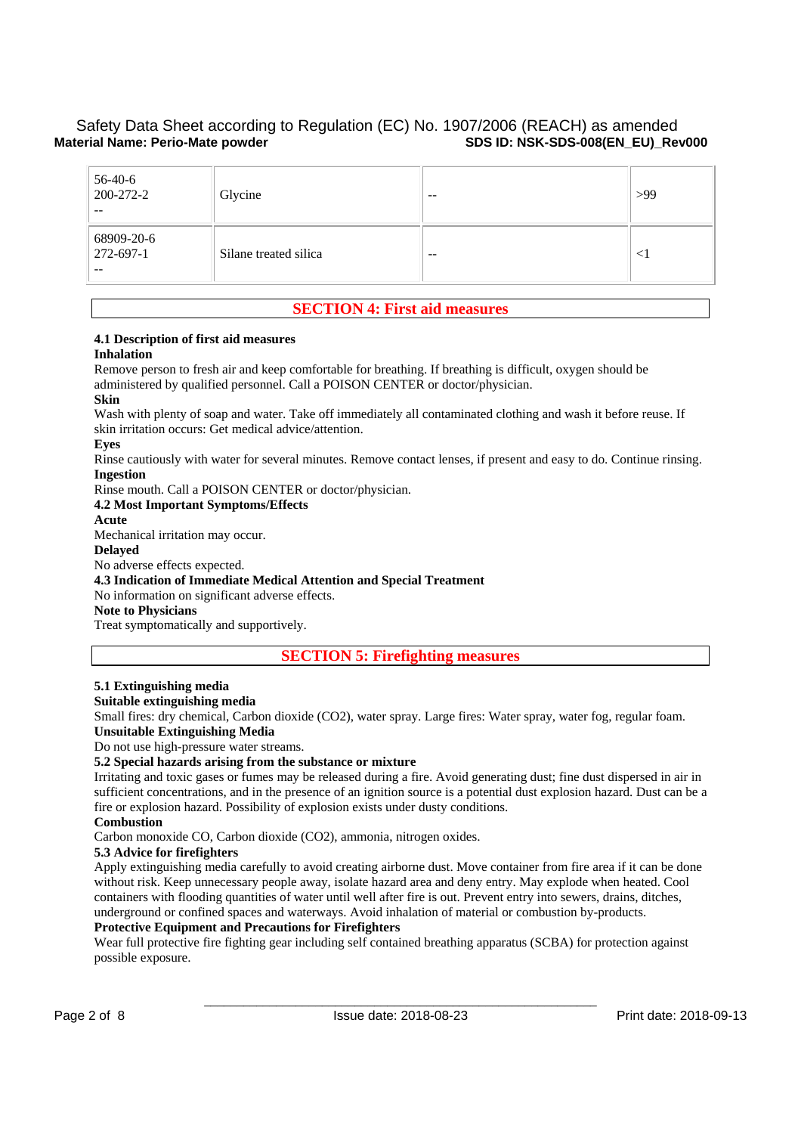| $56-40-6$<br>200-272-2<br>$- -$  | Glycine               | $- -$ | >99    |
|----------------------------------|-----------------------|-------|--------|
| 68909-20-6<br>272-697-1<br>$- -$ | Silane treated silica | $- -$ | $\leq$ |

## **SECTION 4: First aid measures**

# **4.1 Description of first aid measures**

#### **Inhalation**

Remove person to fresh air and keep comfortable for breathing. If breathing is difficult, oxygen should be administered by qualified personnel. Call a POISON CENTER or doctor/physician. **Skin** 

Wash with plenty of soap and water. Take off immediately all contaminated clothing and wash it before reuse. If skin irritation occurs: Get medical advice/attention.

#### **Eyes**

Rinse cautiously with water for several minutes. Remove contact lenses, if present and easy to do. Continue rinsing. **Ingestion** 

Rinse mouth. Call a POISON CENTER or doctor/physician.

### **4.2 Most Important Symptoms/Effects**

**Acute** 

Mechanical irritation may occur.

#### **Delayed**

No adverse effects expected.

### **4.3 Indication of Immediate Medical Attention and Special Treatment**

No information on significant adverse effects.

## **Note to Physicians**

Treat symptomatically and supportively.

**SECTION 5: Firefighting measures** 

## **5.1 Extinguishing media**

### **Suitable extinguishing media**

Small fires: dry chemical, Carbon dioxide (CO2), water spray. Large fires: Water spray, water fog, regular foam. **Unsuitable Extinguishing Media** 

Do not use high-pressure water streams.

### **5.2 Special hazards arising from the substance or mixture**

Irritating and toxic gases or fumes may be released during a fire. Avoid generating dust; fine dust dispersed in air in sufficient concentrations, and in the presence of an ignition source is a potential dust explosion hazard. Dust can be a fire or explosion hazard. Possibility of explosion exists under dusty conditions.

#### **Combustion**

Carbon monoxide CO, Carbon dioxide (CO2), ammonia, nitrogen oxides.

#### **5.3 Advice for firefighters**

Apply extinguishing media carefully to avoid creating airborne dust. Move container from fire area if it can be done without risk. Keep unnecessary people away, isolate hazard area and deny entry. May explode when heated. Cool containers with flooding quantities of water until well after fire is out. Prevent entry into sewers, drains, ditches, underground or confined spaces and waterways. Avoid inhalation of material or combustion by-products.

#### **Protective Equipment and Precautions for Firefighters**

Wear full protective fire fighting gear including self contained breathing apparatus (SCBA) for protection against possible exposure.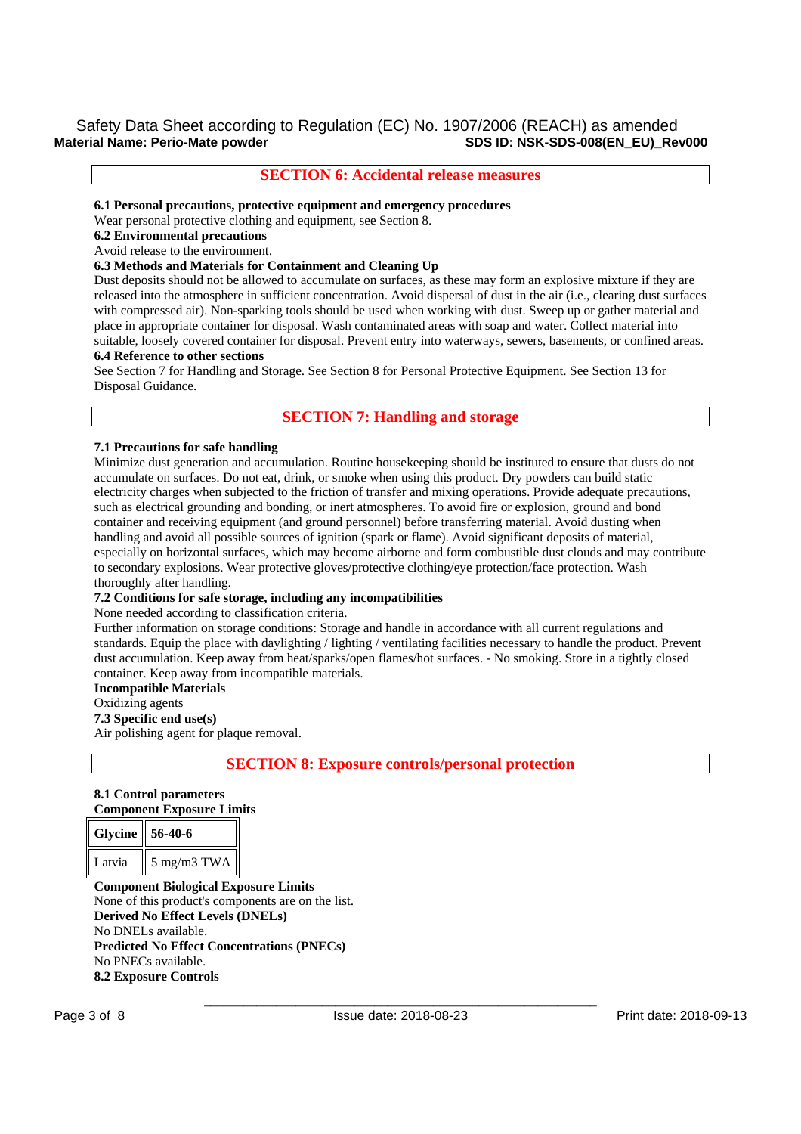## Safety Data Sheet according to Regulation (EC) No. 1907/2006 (REACH) as amended<br>Material Name: Perio-Mate powder Segulation (EC) No. 1907/2006 (REACH) as amended **SDS ID: NSK-SDS-008(EN\_EU)\_Rev000**

## **SECTION 6: Accidental release measures**

**6.1 Personal precautions, protective equipment and emergency procedures** 

Wear personal protective clothing and equipment, see Section 8.

## **6.2 Environmental precautions**

#### Avoid release to the environment.

#### **6.3 Methods and Materials for Containment and Cleaning Up**

Dust deposits should not be allowed to accumulate on surfaces, as these may form an explosive mixture if they are released into the atmosphere in sufficient concentration. Avoid dispersal of dust in the air (i.e., clearing dust surfaces with compressed air). Non-sparking tools should be used when working with dust. Sweep up or gather material and place in appropriate container for disposal. Wash contaminated areas with soap and water. Collect material into suitable, loosely covered container for disposal. Prevent entry into waterways, sewers, basements, or confined areas. **6.4 Reference to other sections** 

See Section 7 for Handling and Storage. See Section 8 for Personal Protective Equipment. See Section 13 for Disposal Guidance.

## **SECTION 7: Handling and storage**

#### **7.1 Precautions for safe handling**

Minimize dust generation and accumulation. Routine housekeeping should be instituted to ensure that dusts do not accumulate on surfaces. Do not eat, drink, or smoke when using this product. Dry powders can build static electricity charges when subjected to the friction of transfer and mixing operations. Provide adequate precautions, such as electrical grounding and bonding, or inert atmospheres. To avoid fire or explosion, ground and bond container and receiving equipment (and ground personnel) before transferring material. Avoid dusting when handling and avoid all possible sources of ignition (spark or flame). Avoid significant deposits of material, especially on horizontal surfaces, which may become airborne and form combustible dust clouds and may contribute to secondary explosions. Wear protective gloves/protective clothing/eye protection/face protection. Wash thoroughly after handling.

### **7.2 Conditions for safe storage, including any incompatibilities**

None needed according to classification criteria.

Further information on storage conditions: Storage and handle in accordance with all current regulations and standards. Equip the place with daylighting / lighting / ventilating facilities necessary to handle the product. Prevent dust accumulation. Keep away from heat/sparks/open flames/hot surfaces. - No smoking. Store in a tightly closed container. Keep away from incompatible materials.

#### **Incompatible Materials**

Oxidizing agents

**7.3 Specific end use(s)** 

Air polishing agent for plaque removal.

**SECTION 8: Exposure controls/personal protection** 

#### **8.1 Control parameters Component Exposure Limits**

| Glycine $\parallel$ 56-40-6 |                           |
|-----------------------------|---------------------------|
| Latvia                      | $\frac{1}{2}$ 5 mg/m3 TWA |

**Component Biological Exposure Limits**  None of this product's components are on the list. **Derived No Effect Levels (DNELs)**  No DNELs available. **Predicted No Effect Concentrations (PNECs)**  No PNECs available. **8.2 Exposure Controls**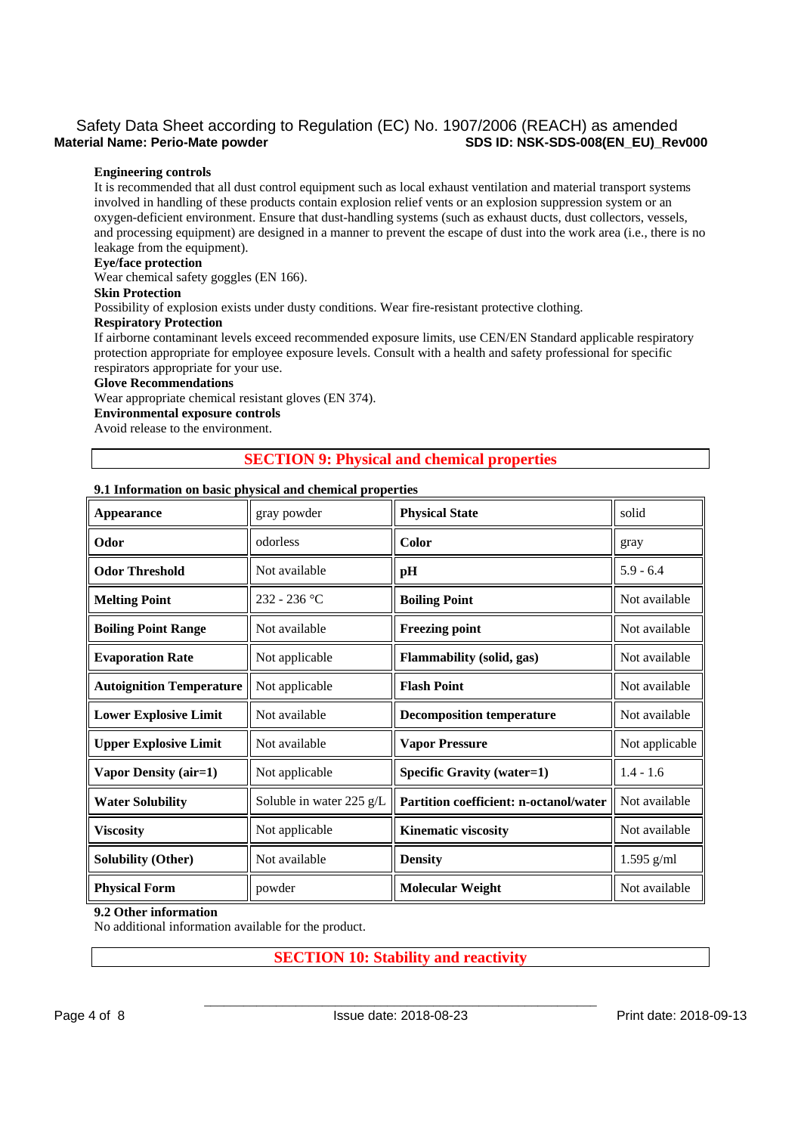## Safety Data Sheet according to Regulation (EC) No. 1907/2006 (REACH) as amended<br>Material Name: Perio-Mate powder Segulation (EC) No. 1907/2006 (REACH) as amended **SDS ID: NSK-SDS-008(EN\_EU)\_Rev000**

#### **Engineering controls**

It is recommended that all dust control equipment such as local exhaust ventilation and material transport systems involved in handling of these products contain explosion relief vents or an explosion suppression system or an oxygen-deficient environment. Ensure that dust-handling systems (such as exhaust ducts, dust collectors, vessels, and processing equipment) are designed in a manner to prevent the escape of dust into the work area (i.e., there is no leakage from the equipment).

#### **Eye/face protection**

Wear chemical safety goggles (EN 166).

#### **Skin Protection**

Possibility of explosion exists under dusty conditions. Wear fire-resistant protective clothing.

#### **Respiratory Protection**

If airborne contaminant levels exceed recommended exposure limits, use CEN/EN Standard applicable respiratory protection appropriate for employee exposure levels. Consult with a health and safety professional for specific respirators appropriate for your use.

#### **Glove Recommendations**

Wear appropriate chemical resistant gloves (EN 374).

### **Environmental exposure controls**

Avoid release to the environment.

## **SECTION 9: Physical and chemical properties**

#### **9.1 Information on basic physical and chemical properties**

| Appearance                      | gray powder              | <b>Physical State</b>                  | solid          |  |
|---------------------------------|--------------------------|----------------------------------------|----------------|--|
| Odor                            | odorless                 | Color                                  | gray           |  |
| <b>Odor Threshold</b>           | Not available            | pН                                     | $5.9 - 6.4$    |  |
| <b>Melting Point</b>            | $232 - 236$ °C           | <b>Boiling Point</b>                   | Not available  |  |
| <b>Boiling Point Range</b>      | Not available            | <b>Freezing point</b>                  | Not available  |  |
| <b>Evaporation Rate</b>         | Not applicable           | Flammability (solid, gas)              | Not available  |  |
| <b>Autoignition Temperature</b> | Not applicable           | <b>Flash Point</b>                     | Not available  |  |
| <b>Lower Explosive Limit</b>    | Not available            | <b>Decomposition temperature</b>       | Not available  |  |
| <b>Upper Explosive Limit</b>    | Not available            | <b>Vapor Pressure</b>                  | Not applicable |  |
| Vapor Density (air=1)           | Not applicable           | <b>Specific Gravity (water=1)</b>      | $1.4 - 1.6$    |  |
| <b>Water Solubility</b>         | Soluble in water 225 g/L | Partition coefficient: n-octanol/water | Not available  |  |
| <b>Viscosity</b>                | Not applicable           | <b>Kinematic viscosity</b>             | Not available  |  |
| <b>Solubility (Other)</b>       | Not available            | <b>Density</b>                         | $1.595$ g/ml   |  |
| <b>Physical Form</b>            | powder                   | <b>Molecular Weight</b>                | Not available  |  |

#### **9.2 Other information**

No additional information available for the product.

## **SECTION 10: Stability and reactivity**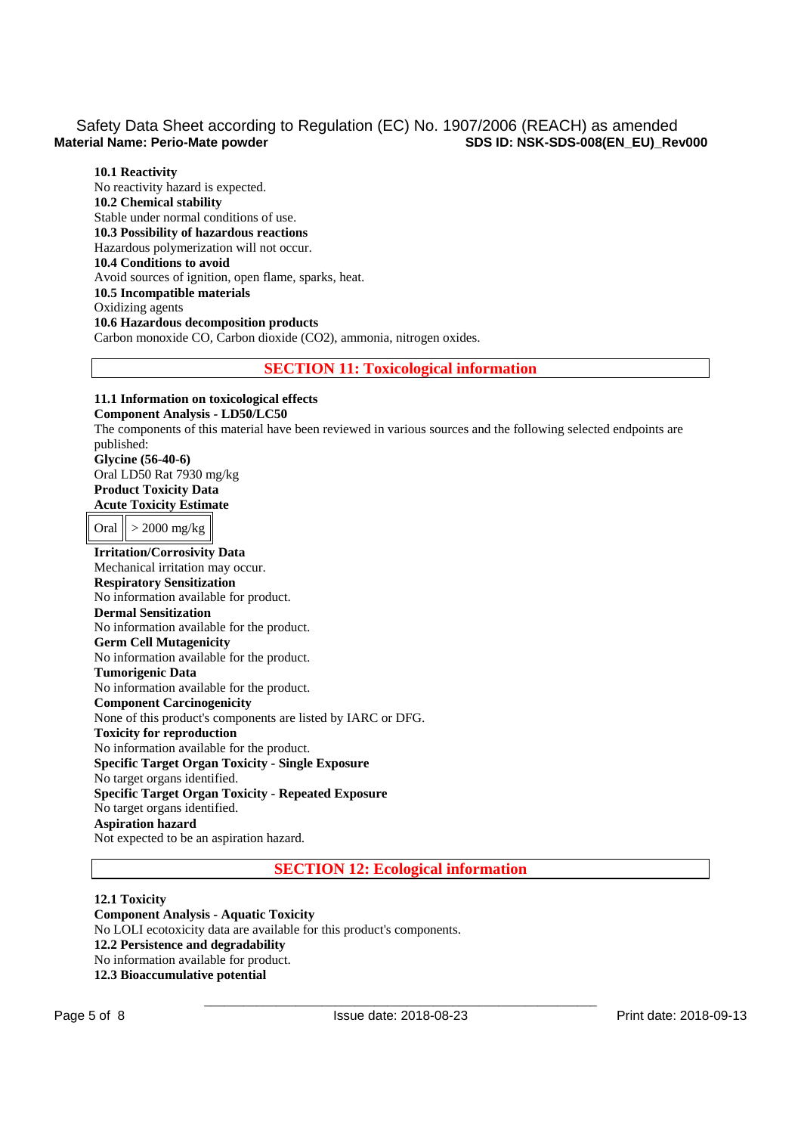**10.1 Reactivity**  No reactivity hazard is expected. **10.2 Chemical stability**  Stable under normal conditions of use. **10.3 Possibility of hazardous reactions**  Hazardous polymerization will not occur. **10.4 Conditions to avoid**  Avoid sources of ignition, open flame, sparks, heat. **10.5 Incompatible materials**  Oxidizing agents **10.6 Hazardous decomposition products**  Carbon monoxide CO, Carbon dioxide (CO2), ammonia, nitrogen oxides.

#### **SECTION 11: Toxicological information**

## **11.1 Information on toxicological effects**

**Component Analysis - LD50/LC50**  The components of this material have been reviewed in various sources and the following selected endpoints are published: **Glycine (56-40-6)** Oral LD50 Rat 7930 mg/kg **Product Toxicity Data Acute Toxicity Estimate**  Oral  $\vert$  > 2000 mg/kg **Irritation/Corrosivity Data** 

Mechanical irritation may occur. **Respiratory Sensitization**  No information available for product. **Dermal Sensitization**  No information available for the product. **Germ Cell Mutagenicity**  No information available for the product. **Tumorigenic Data**  No information available for the product. **Component Carcinogenicity**  None of this product's components are listed by IARC or DFG. **Toxicity for reproduction**  No information available for the product. **Specific Target Organ Toxicity - Single Exposure**  No target organs identified. **Specific Target Organ Toxicity - Repeated Exposure**  No target organs identified. **Aspiration hazard**  Not expected to be an aspiration hazard.

**SECTION 12: Ecological information** 

**12.1 Toxicity Component Analysis - Aquatic Toxicity**  No LOLI ecotoxicity data are available for this product's components. **12.2 Persistence and degradability**  No information available for product. **12.3 Bioaccumulative potential**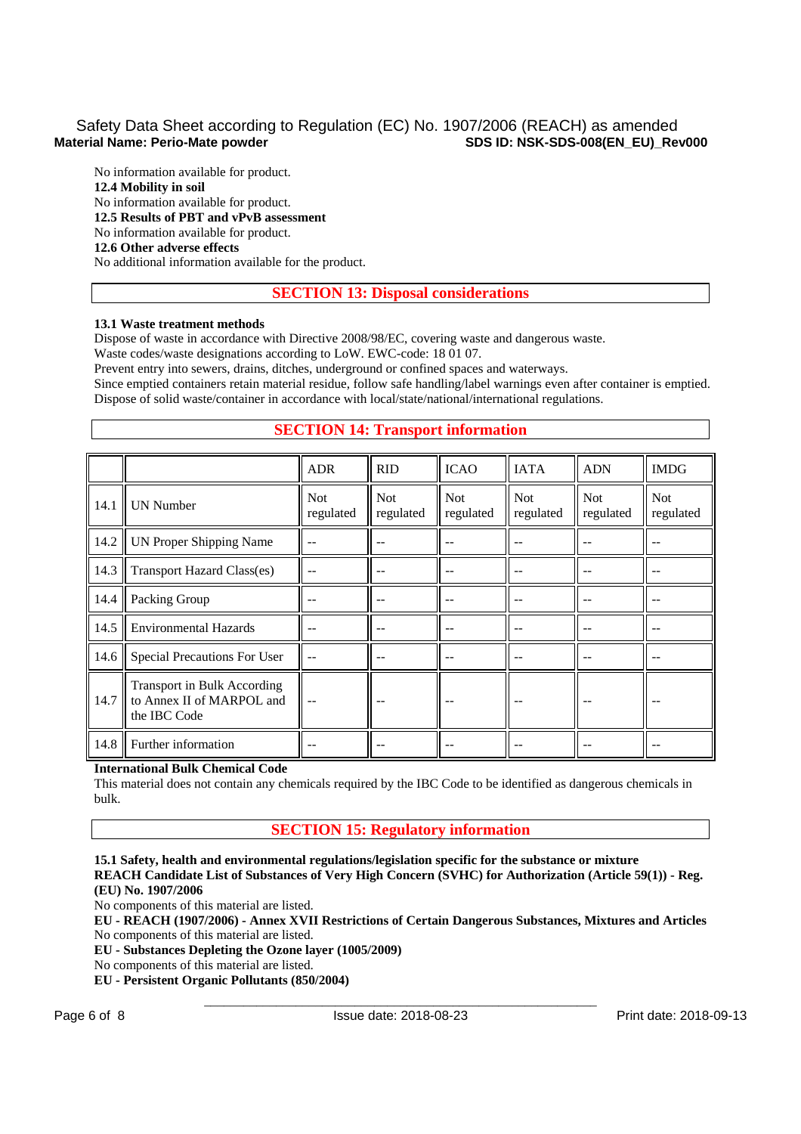No information available for product. **12.4 Mobility in soil**  No information available for product. **12.5 Results of PBT and vPvB assessment**  No information available for product. **12.6 Other adverse effects** 

No additional information available for the product.

## **SECTION 13: Disposal considerations**

#### **13.1 Waste treatment methods**

Dispose of waste in accordance with Directive 2008/98/EC, covering waste and dangerous waste.

Waste codes/waste designations according to LoW. EWC-code: 18 01 07.

Prevent entry into sewers, drains, ditches, underground or confined spaces and waterways.

Since emptied containers retain material residue, follow safe handling/label warnings even after container is emptied. Dispose of solid waste/container in accordance with local/state/national/international regulations.

## **SECTION 14: Transport information**

|      |                                                                          | <b>ADR</b>              | <b>RID</b>              | <b>ICAO</b>             | <b>IATA</b>       | <b>ADN</b>              | <b>IMDG</b>             |
|------|--------------------------------------------------------------------------|-------------------------|-------------------------|-------------------------|-------------------|-------------------------|-------------------------|
| 14.1 | <b>UN Number</b>                                                         | <b>Not</b><br>regulated | <b>Not</b><br>regulated | <b>Not</b><br>regulated | Not.<br>regulated | <b>Not</b><br>regulated | <b>Not</b><br>regulated |
| 14.2 | UN Proper Shipping Name                                                  |                         |                         |                         |                   |                         |                         |
| 14.3 | <b>Transport Hazard Class(es)</b>                                        |                         |                         |                         |                   |                         |                         |
| 14.4 | Packing Group                                                            |                         |                         |                         |                   |                         |                         |
| 14.5 | <b>Environmental Hazards</b>                                             |                         |                         |                         |                   |                         |                         |
| 14.6 | Special Precautions For User                                             | $-$                     |                         |                         |                   |                         |                         |
| 14.7 | Transport in Bulk According<br>to Annex II of MARPOL and<br>the IBC Code |                         |                         |                         |                   |                         |                         |
| 14.8 | Further information                                                      |                         |                         |                         |                   |                         |                         |

#### **International Bulk Chemical Code**

This material does not contain any chemicals required by the IBC Code to be identified as dangerous chemicals in bulk.

### **SECTION 15: Regulatory information**

**15.1 Safety, health and environmental regulations/legislation specific for the substance or mixture REACH Candidate List of Substances of Very High Concern (SVHC) for Authorization (Article 59(1)) - Reg. (EU) No. 1907/2006** 

No components of this material are listed.

**EU - REACH (1907/2006) - Annex XVII Restrictions of Certain Dangerous Substances, Mixtures and Articles**  No components of this material are listed.

**EU - Substances Depleting the Ozone layer (1005/2009)** 

No components of this material are listed.

**EU - Persistent Organic Pollutants (850/2004)**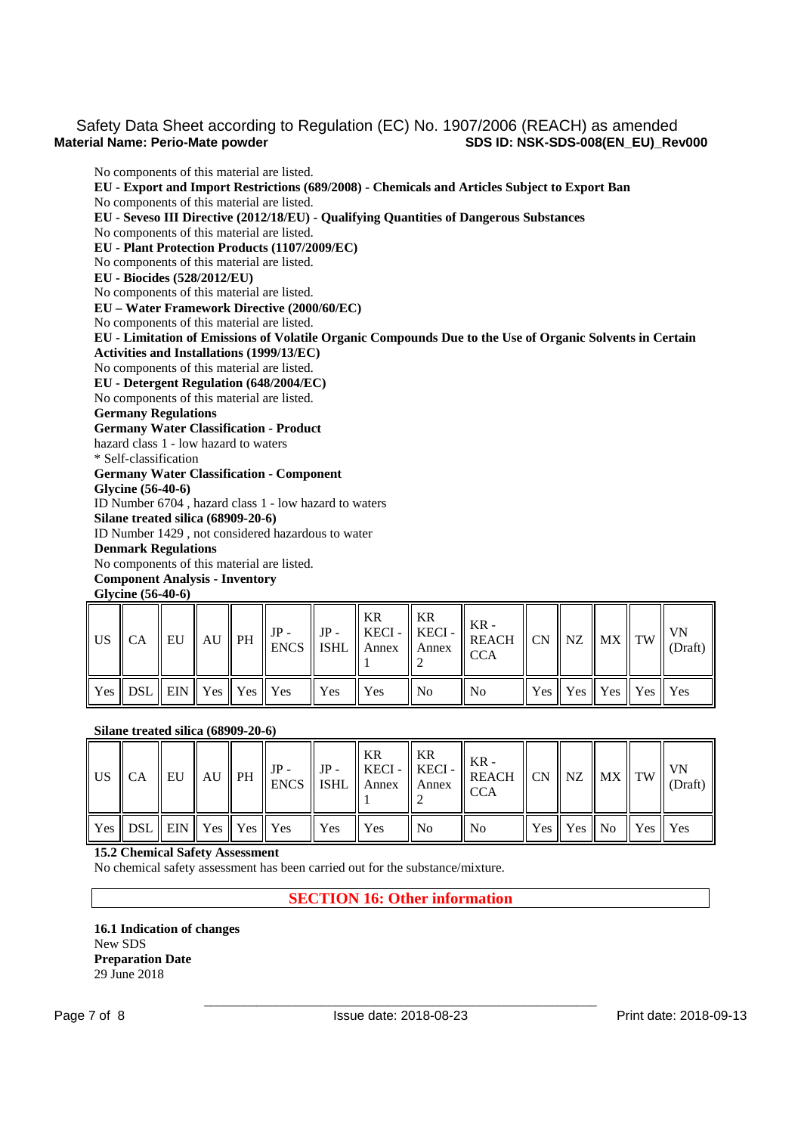No components of this material are listed. **EU - Export and Import Restrictions (689/2008) - Chemicals and Articles Subject to Export Ban**  No components of this material are listed. **EU - Seveso III Directive (2012/18/EU) - Qualifying Quantities of Dangerous Substances**  No components of this material are listed. **EU - Plant Protection Products (1107/2009/EC)** 

No components of this material are listed.

**EU - Biocides (528/2012/EU)** 

No components of this material are listed.

**EU – Water Framework Directive (2000/60/EC)** 

No components of this material are listed.

**EU - Limitation of Emissions of Volatile Organic Compounds Due to the Use of Organic Solvents in Certain Activities and Installations (1999/13/EC)** 

No components of this material are listed.

**EU - Detergent Regulation (648/2004/EC)** 

No components of this material are listed.

**Germany Regulations** 

**Germany Water Classification - Product** 

hazard class 1 - low hazard to waters

\* Self-classification

**Germany Water Classification - Component** 

**Glycine (56-40-6)**

ID Number 6704 , hazard class 1 - low hazard to waters

**Silane treated silica (68909-20-6)** ID Number 1429 , not considered hazardous to water

**Denmark Regulations** 

No components of this material are listed.

**Component Analysis - Inventory** 

**Glycine (56-40-6)**

|                                        |  |  |             | KR | $\parallel$ KR | $\Big\  \text{US} \Big\  \text{CA} \Big\  \text{EU} \Big\  \text{AU} \Big\  \text{PH} \Big\  \text{IP-} \Big\  \text{IP-} \Big\  \text{IEC1} \Big\  \text{KECI-} \Big\  \text{KECI-} \Big\  \text{KECI-} \Big\  \text{KEC1-} \Big\  \text{CKR-} \Big\  \text{CN} \Big\  \text{NZ} \Big\  \text{MX} \Big\  \text{TW} \Big\  \text{VN} \Big\  \text{VN} \Big\  \text{VN} \Big\  \text{CN} \Big\  \text{CN} \Big\  \text{$<br>$\mathsf{T}_{\text{CCA}}$ |  |                                 |  |
|----------------------------------------|--|--|-------------|----|----------------|------------------------------------------------------------------------------------------------------------------------------------------------------------------------------------------------------------------------------------------------------------------------------------------------------------------------------------------------------------------------------------------------------------------------------------------------------|--|---------------------------------|--|
| Yes    DSL    EIN    Yes    Yes    Yes |  |  | $Yes$ $Yes$ |    | ll No          | $\parallel$ No                                                                                                                                                                                                                                                                                                                                                                                                                                       |  | Yes    Yes    Yes    Yes    Yes |  |

#### **Silane treated silica (68909-20-6)**

|  |  |                                                                                                                                 |  |       | US $\left\ $ CA $\left\ $ EU $\right\ $ AU $\left\ $ PH $\left\ $ IP- $\left\ $ ISHL $\right\ $ KECI- $\left\ $ KECI- $\left\ $ KEACH $\right\ $ CN $\left\ $ NZ $\left\ $ NX $\right\ $ TW $\left\ $ VN $\right\ $ (Draft) |  |                                                                                |  |
|--|--|---------------------------------------------------------------------------------------------------------------------------------|--|-------|-----------------------------------------------------------------------------------------------------------------------------------------------------------------------------------------------------------------------------|--|--------------------------------------------------------------------------------|--|
|  |  | $\parallel$ Yes $\parallel$ DSL $\parallel$ EIN $\parallel$ Yes $\parallel$ Yes $\parallel$ Yes $\parallel$ Yes $\parallel$ Yes |  | ll No | ll No                                                                                                                                                                                                                       |  | $\parallel$ Yes $\parallel$ Yes $\parallel$ No $\parallel$ Yes $\parallel$ Yes |  |

#### **15.2 Chemical Safety Assessment**

No chemical safety assessment has been carried out for the substance/mixture.

## **SECTION 16: Other information**

**16.1 Indication of changes**  New SDS **Preparation Date**  29 June 2018